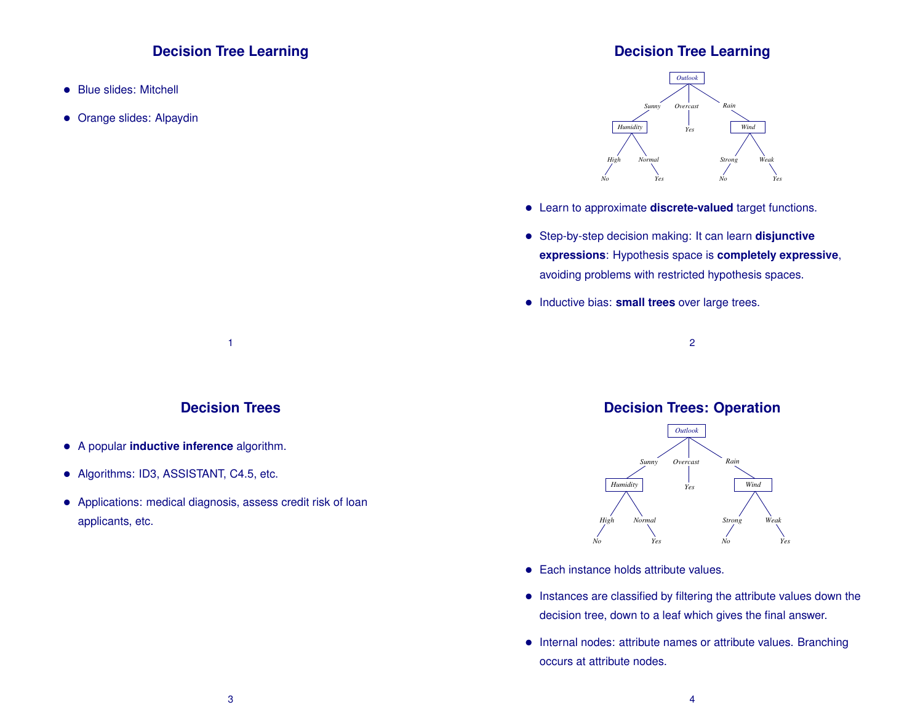## **Decision Tree Learning**

- Blue slides: Mitchell
- Orange slides: Alpaydin

### **Decision Tree Learning**



- Learn to approximate **discrete-valued** target functions.
- Step-by-step decision making: It can learn **disjunctive expressions**: Hypothesis space is **completely expressive**, avoiding problems with restricted hypothesis spaces.
- Inductive bias: **small trees** over large trees.

#### 2

#### **Decision Trees**

1

- A popular **inductive inference** algorithm.
- Algorithms: ID3, ASSISTANT, C4.5, etc.
- Applications: medical diagnosis, assess credit risk of loan applicants, etc.

#### **Decision Trees: Operation**



- Each instance holds attribute values.
- Instances are classified by filtering the attribute values down the decision tree, down to a leaf which gives the final answer.
- Internal nodes: attribute names or attribute values. Branching occurs at attribute nodes.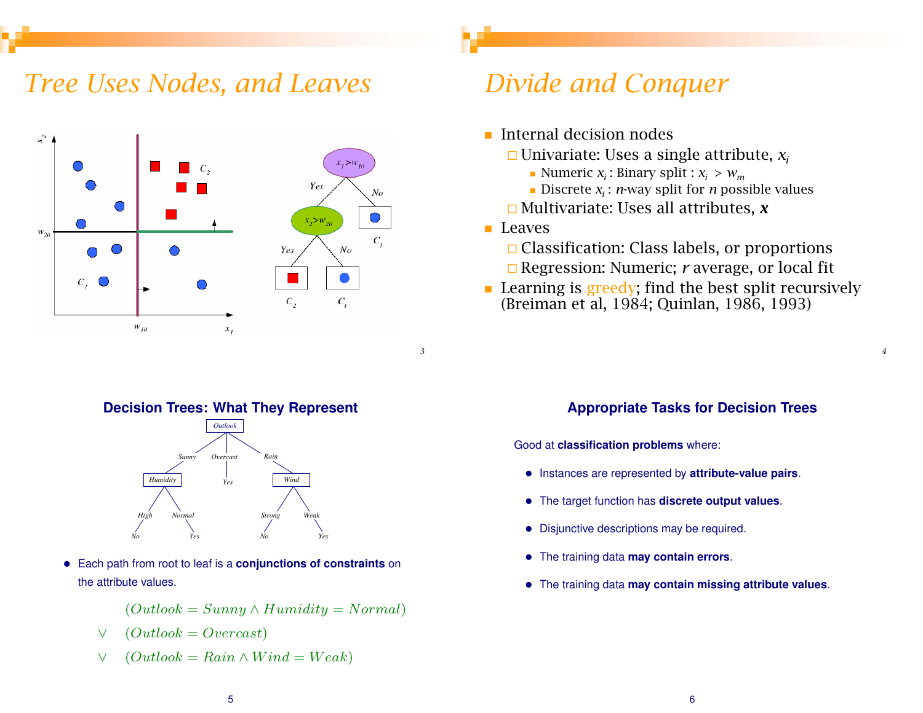## *Tree Uses Nodes, and Leaves*



#### **Decision Trees: What They Represent**



• Each path from root to leaf is a **conjunctions of constraints** on the attribute values.

 $(Outlook = Sunny \wedge Humidity = Normal)$ 

$$
\vee\quad(Outlook=Overcast)
$$

 $\vee$  (Outlook = Rain  $\wedge$  Wind = Weak)

## *Divide and Conquer*

- **Internal decision nodes** 
	- Univariate: Uses a single attribute, *xi*
		- Numeric *x<sub>i</sub>* : Binary split :  $x_i > w_m$
		- Discrete *x<sub>i</sub>* : *n*-way split for *n* possible values
	- Multivariate: Uses all attributes, *x*

**Leaves** 

- $\Box$  Classification: Class labels, or proportions Regression: Numeric; *r* average, or local fit
- **Learning is greedy; find the best split recursively** (Breiman et al, 1984; Quinlan, 1986, 1993)

## **Appropriate Tasks for Decision Trees**

*4*

Good at **classification problems** where:

- Instances are represented by **attribute-value pairs**.
- The target function has **discrete output values**.
- Disjunctive descriptions may be required.
- The training data **may contain errors**.
- The training data **may contain missing attribute values**.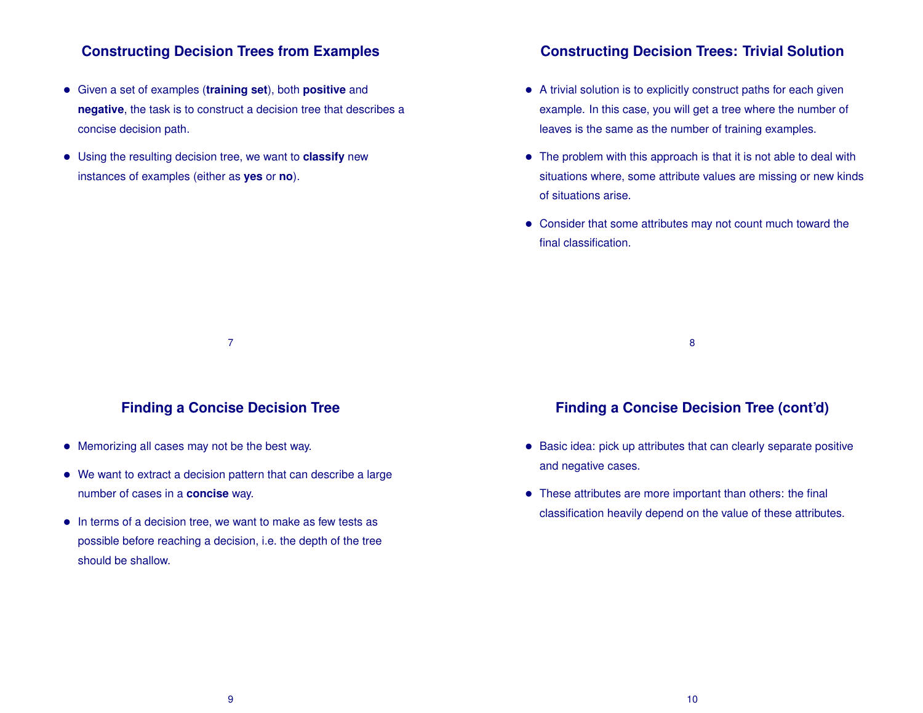### **Constructing Decision Trees from Examples**

- Given a set of examples (**training set**), both **positive** and **negative**, the task is to construct a decision tree that describes a concise decision path.
- Using the resulting decision tree, we want to **classify** new instances of examples (either as **yes** or **no**).

#### **Constructing Decision Trees: Trivial Solution**

- A trivial solution is to explicitly construct paths for each given example. In this case, you will get a tree where the number of leaves is the same as the number of training examples.
- The problem with this approach is that it is not able to deal with situations where, some attribute values are missing or new kinds of situations arise.
- Consider that some attributes may not count much toward the final classification.

8

#### **Finding a Concise Decision Tree**

7

- Memorizing all cases may not be the best way.
- We want to extract a decision pattern that can describe a large number of cases in a **concise** way.
- In terms of a decision tree, we want to make as few tests as possible before reaching a decision, i.e. the depth of the tree should be shallow.

## **Finding a Concise Decision Tree (cont'd)**

- Basic idea: pick up attributes that can clearly separate positive and negative cases.
- These attributes are more important than others: the final classification heavily depend on the value of these attributes.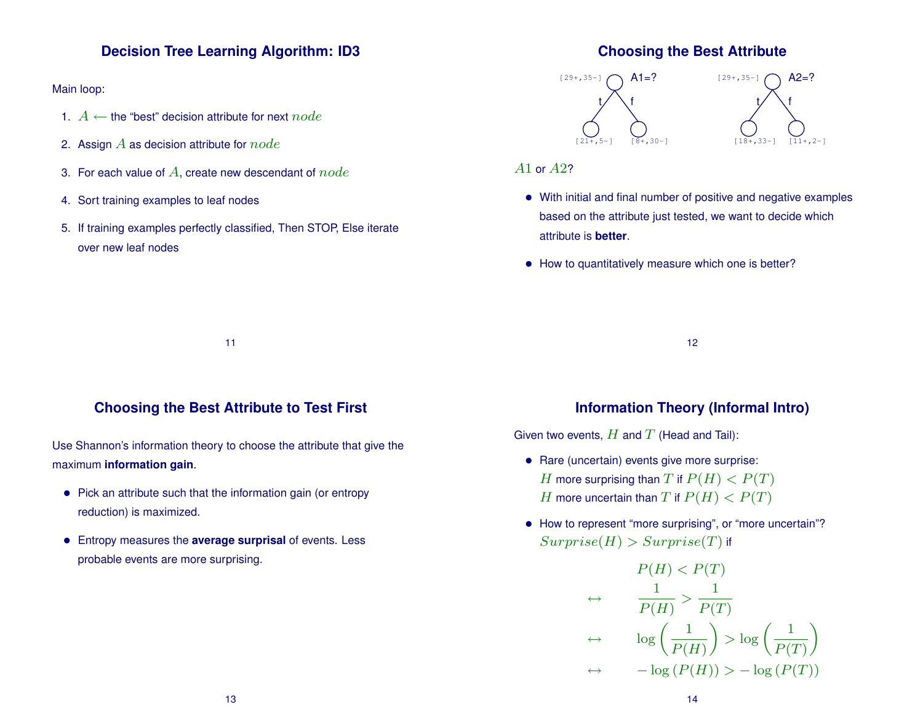### **Decision Tree Learning Algorithm: ID3**

Main loop:

- 1.  $A \leftarrow$  the "best" decision attribute for next  $node$
- 2. Assign  $A$  as decision attribute for  $node$
- 3. For each value of  $A$ , create new descendant of  $node$
- 4. Sort training examples to leaf nodes
- 5. If training examples perfectly classified, Then STOP, Else iterate over new leaf nodes

#### **Choosing the Best Attribute**



#### A1 or A2?

- With initial and final number of positive and negative examples based on the attribute just tested, we want to decide which attribute is **better**.
- How to quantitatively measure which one is better?

11

#### **Choosing the Best Attribute to Test First**

Use Shannon's information theory to choose the attribute that give the maximum **information gain**.

- Pick an attribute such that the information gain (or entropy reduction) is maximized.
- Entropy measures the **average surprisal** of events. Less probable events are more surprising.

## **Information Theory (Informal Intro)**

12

Given two events,  $H$  and  $T$  (Head and Tail):

- Rare (uncertain) events give more surprise: H more surprising than T if  $P(H) < P(T)$ H more uncertain than T if  $P(H) < P(T)$
- How to represent "more surprising", or "more uncertain"?  $Surrence(H) > Surprise(T)$  if

$$
P(H) < P(T)
$$
\n
$$
\leftrightarrow \quad \frac{1}{P(H)} > \frac{1}{P(T)}
$$
\n
$$
\leftrightarrow \quad \log\left(\frac{1}{P(H)}\right) > \log\left(\frac{1}{P(T)}\right)
$$
\n
$$
\leftrightarrow \quad -\log\left(P(H)\right) > -\log\left(P(T)\right)
$$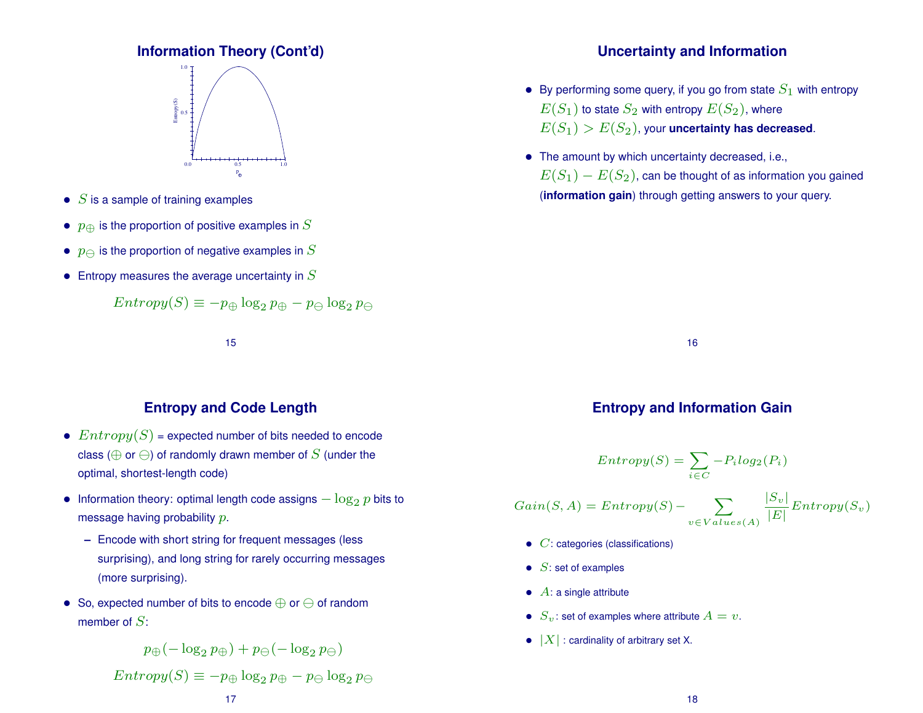## **Information Theory (Cont'd)**



- $S$  is a sample of training examples
- $p_{\oplus}$  is the proportion of positive examples in S
- $p_{\ominus}$  is the proportion of negative examples in  $S$
- Entropy measures the average uncertainty in  $S$

$$
Entropy(S) \equiv -p_{\oplus} \log_2 p_{\oplus} - p_{\ominus} \log_2 p_{\ominus}
$$

15

## **Entropy and Code Length**

- $Entropy(S)$  = expected number of bits needed to encode class ( $\oplus$  or  $\ominus$ ) of randomly drawn member of S (under the optimal, shortest-length code)
- Information theory: optimal length code assigns  $-\log_2 p$  bits to message having probability p.
	- **–** Encode with short string for frequent messages (less surprising), and long string for rarely occurring messages (more surprising).
- So, expected number of bits to encode ⊕ or of random member of  $S$ :

$$
p_\oplus(-\log_2 p_\oplus)+p_\ominus(-\log_2 p_\ominus)
$$

 $Entropy(S) \equiv -p_{\oplus} \log_2 p_{\oplus} - p_{\ominus} \log_2 p_{\ominus}$ 

## **Uncertainty and Information**

- By performing some query, if you go from state  $S_1$  with entropy  $E(S_1)$  to state  $S_2$  with entropy  $E(S_2)$ , where  $E(S_1) > E(S_2)$ , your **uncertainty has decreased**.
- The amount by which uncertainty decreased, i.e.,  $E(S_1) - E(S_2)$ , can be thought of as information you gained (**information gain**) through getting answers to your query.

16

## **Entropy and Information Gain**

$$
Entropy(S) = \sum_{i \in C} -P_i log_2(P_i)
$$

$$
Gain(S, A) = Entropy(S) - \sum_{v \in Values(A)} \frac{|S_v|}{|E|} Entropy(S_v)
$$

- $\bullet$   $C$ : categories (classifications)
- $\bullet$  S: set of examples
- $\bullet$   $A$ : a single attribute
- $S_v$ : set of examples where attribute  $A = v$ .
- $|X|$ : cardinality of arbitrary set X.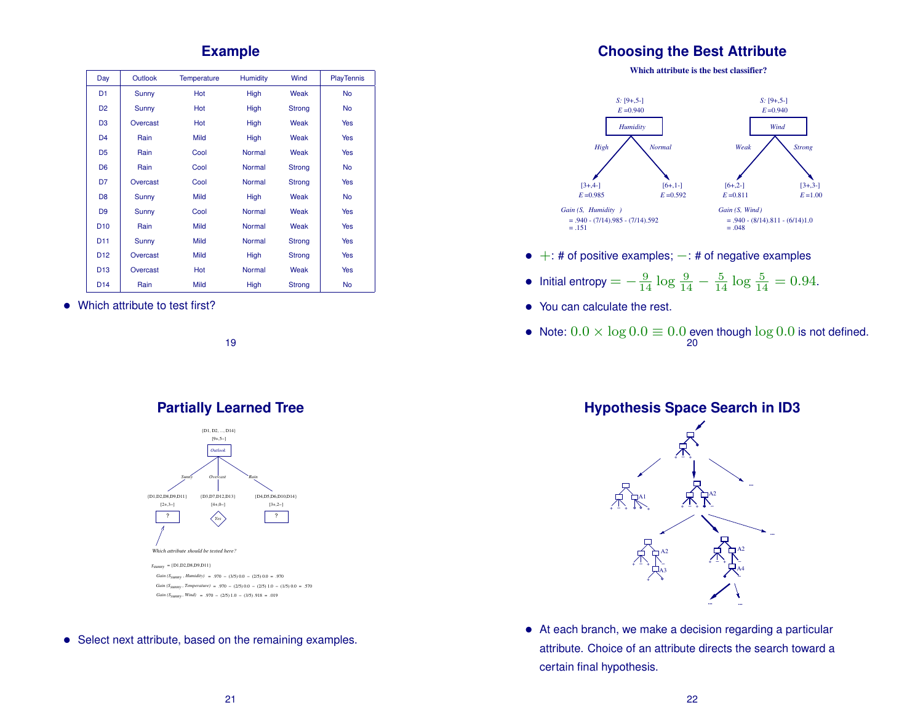#### **Example**

| Day             | Outlook  | <b>Temperature</b> | <b>Humidity</b> | Wind   | <b>PlayTennis</b> |
|-----------------|----------|--------------------|-----------------|--------|-------------------|
| D <sub>1</sub>  | Sunny    | Hot                | High            | Weak   | <b>No</b>         |
| D <sub>2</sub>  | Sunny    | Hot                | High            | Strong | <b>No</b>         |
| D3              | Overcast | Hot                | High            | Weak   | Yes               |
| D4              | Rain     | <b>Mild</b>        | High            | Weak   | Yes               |
| D <sub>5</sub>  | Rain     | Cool               | <b>Normal</b>   | Weak   | Yes               |
| D <sub>6</sub>  | Rain     | Cool               | Normal          | Strong | <b>No</b>         |
| D7              | Overcast | Cool               | Normal          | Strong | Yes               |
| D <sub>8</sub>  | Sunny    | <b>Mild</b>        | High            | Weak   | <b>No</b>         |
| D <sub>9</sub>  | Sunny    | Cool               | Normal          | Weak   | Yes               |
| D <sub>10</sub> | Rain     | <b>Mild</b>        | Normal          | Weak   | Yes               |
| D <sub>11</sub> | Sunny    | <b>Mild</b>        | Normal          | Strong | Yes               |
| D <sub>12</sub> | Overcast | <b>Mild</b>        | High            | Strong | Yes               |
| D <sub>13</sub> | Overcast | Hot                | Normal          | Weak   | Yes               |
| D <sub>14</sub> | Rain     | Mild               | High            | Strong | <b>No</b>         |

• Which attribute to test first?

19

## **Partially Learned Tree**



• Select next attribute, based on the remaining examples.

#### **Choosing the Best Attribute**

**Which attribute is the best classifier?**



 $\bullet$  +: # of positive examples;  $-$ : # of negative examples

• Initial entropy = 
$$
-\frac{9}{14} \log \frac{9}{14} - \frac{5}{14} \log \frac{5}{14} = 0.94.
$$

- You can calculate the rest.
- Note:  $0.0 \times \log 0.0 \equiv 0.0$  even though  $\log 0.0$  is not defined. 20

**Hypothesis Space Search in ID3**



• At each branch, we make a decision regarding a particular attribute. Choice of an attribute directs the search toward a certain final hypothesis.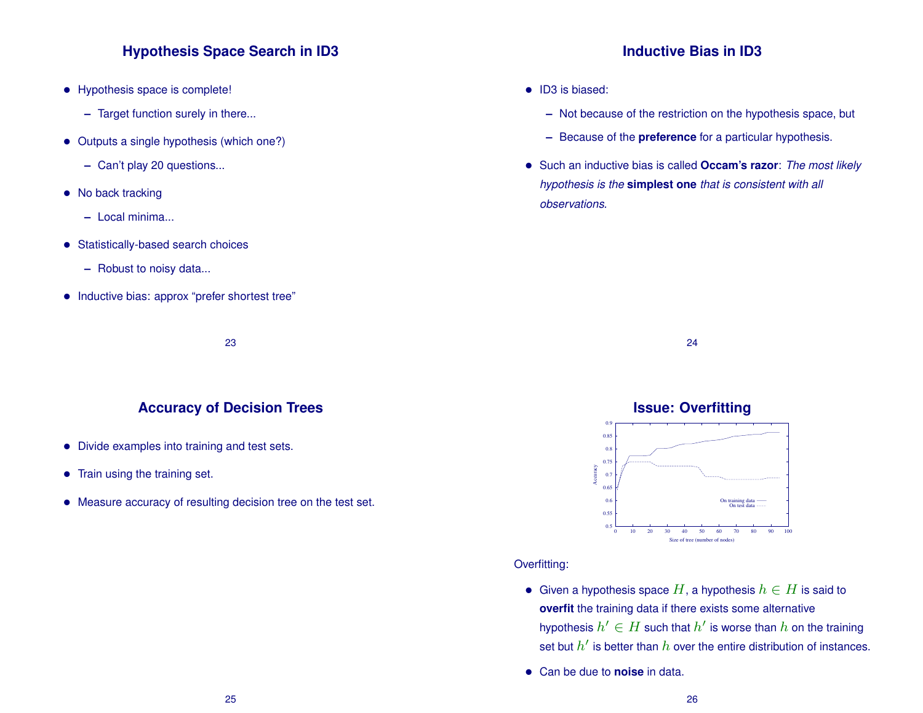### **Hypothesis Space Search in ID3**

- Hypothesis space is complete!
	- **–** Target function surely in there...
- Outputs a single hypothesis (which one?)
	- **–** Can't play 20 questions...
- No back tracking
	- **–** Local minima...
- Statistically-based search choices
	- **–** Robust to noisy data...
- Inductive bias: approx "prefer shortest tree"

#### **Inductive Bias in ID3**

- ID3 is biased:
	- **–** Not because of the restriction on the hypothesis space, but
	- **–** Because of the **preference** for a particular hypothesis.
- Such an inductive bias is called **Occam's razor**: *The most likely hypothesis is the* **simplest one** *that is consistent with all observations.*

## 23

#### **Accuracy of Decision Trees**

- Divide examples into training and test sets.
- Train using the training set.
- Measure accuracy of resulting decision tree on the test set.

## **Issue: Overfitting**

24



#### Overfitting:

- Given a hypothesis space  $H$ , a hypothesis  $h \in H$  is said to **overfit** the training data if there exists some alternative hypothesis  $h' \in H$  such that  $h'$  is worse than  $h$  on the training set but  $h'$  is better than  $h$  over the entire distribution of instances.
- Can be due to **noise** in data.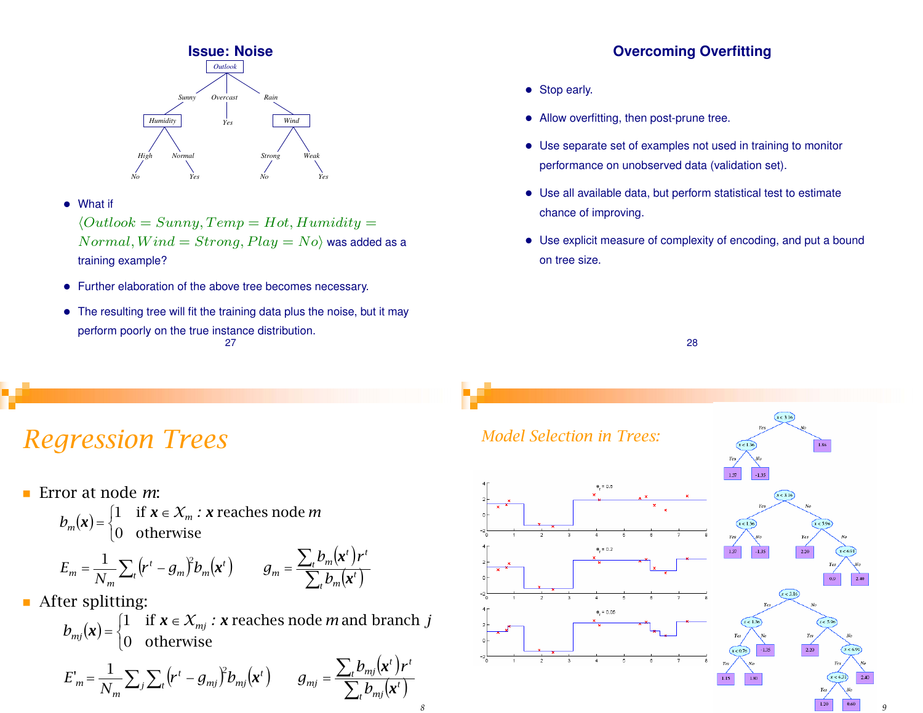

• What if

 $\langle Outlook = Sunny, Temp = Hot, Humidity =$  $Normal, Wind = Strong, Play = No$  was added as a training example?

- Further elaboration of the above tree becomes necessary.
- The resulting tree will fit the training data plus the noise, but it may perform poorly on the true instance distribution. 27

## **Overcoming Overfitting**

- Stop early.
- Allow overfitting, then post-prune tree.
- Use separate set of examples not used in training to monitor performance on unobserved data (validation set).
- Use all available data, but perform statistical test to estimate chance of improving.
- Use explicit measure of complexity of encoding, and put a bound on tree size.



## *Regression Trees*

Error at node *m*:

 $(\boldsymbol{\mathsf{x}})$  $\overline{\mathfrak{l}}$ ⎨  $=\begin{cases} 1 & \text{if } x \in \mathcal{X}_m \\ 0 & \text{if } x \in \mathcal{X}_m \end{cases}$  $b_m(\mathbf{x}) = \begin{cases} 1 & \text{if } \mathbf{x} \in \mathcal{X}_m : \mathbf{x} \text{ reaches node } m \\ 0 & \text{otherwise} \end{cases}$ *x* 0 otherwise 1 if  $x \in X_m$ : x reaches node

$$
E_m = \frac{1}{N_m} \sum_{t} (r^t - g_m)^2 b_m(\mathbf{x}^t) \qquad g_m = \frac{\sum_{t} b_m(\mathbf{x}^t) r^t}{\sum_{t} b_m(\mathbf{x}^t)}
$$

**After splitting:** 

 $(\boldsymbol{\mathsf{x}})$  $\overline{a}$ ⎨  $\begin{cases} 1 & \text{if } x \in \end{cases}$  $=\begin{cases} 1 & \text{if } \lambda \in \mathcal{N}_{mj} \\ 0 & \text{if } \lambda \in \mathcal{N}_{mj} \end{cases}$  $b_{mj}(\mathbf{x}) = \begin{cases} 1 & \text{if } \mathbf{x} \in \mathcal{X}_{mj} : \mathbf{x} \text{ reaches node } m \text{ and branch } j \end{cases}$ *x* 0 otherwise 1 if  $x \in X_{mi}$ : x reaches node *m* and branch

$$
E'_{m} = \frac{1}{N_m} \sum_{j} \sum_{t} (r^t - g_{mj})^2 b_{mj}(\mathbf{x}^t) \qquad g_{mj} = \frac{\sum_{t} b_{mj}(\mathbf{x}^t) r^t}{\sum_{t} b_{mj}(\mathbf{x}^t)}
$$



*9*